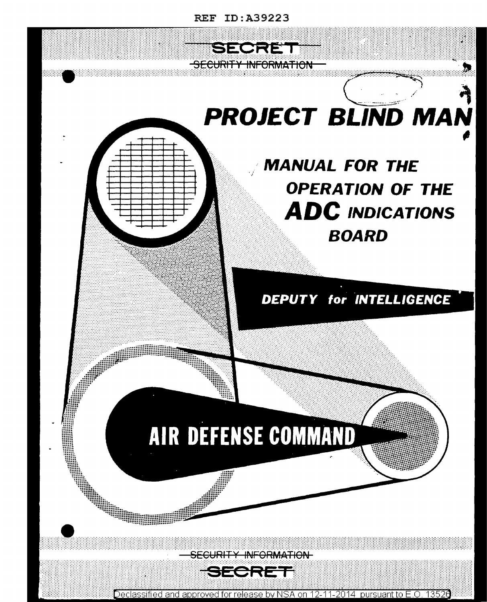

Declassified and approved for release by NSA on 12-11-2014 pursuant to E.O. 13526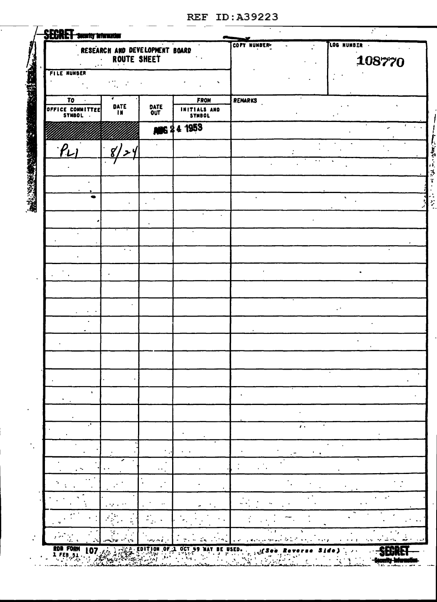| <b>SECRET</b> searily interaction |                                               |              |                        |             |              |              |        |  |
|-----------------------------------|-----------------------------------------------|--------------|------------------------|-------------|--------------|--------------|--------|--|
|                                   | RESEARCH AND DEVELOPMENT BOARD<br>ROUTE SHEET |              |                        | COPY NUMBER |              | LOG NUMBER . | 108770 |  |
| <b>FILE NUMBER</b>                |                                               |              | ٠                      |             |              |              |        |  |
| TO                                |                                               |              | FROM                   | REMARKS     |              |              |        |  |
| OFFICE COMMITTEE                  | DATE<br>TN.                                   | DATE<br>OUT  | INITIALS AND<br>SYMBOL |             |              |              |        |  |
|                                   |                                               | <b>MIG 2</b> | 4 1953                 |             |              |              | ٠      |  |
| $\rho_{\nu}$                      | $g^{\prime}/$<br>ا ح '                        |              |                        |             |              |              |        |  |
|                                   |                                               |              |                        |             |              |              |        |  |
|                                   |                                               |              |                        |             |              |              |        |  |
| ۰                                 |                                               |              |                        |             |              | $\cdot$      |        |  |
|                                   |                                               |              |                        |             |              |              |        |  |
|                                   |                                               |              |                        |             |              |              |        |  |
|                                   | $\sim$ $\sim$                                 |              |                        |             |              |              |        |  |
|                                   |                                               |              |                        |             |              |              |        |  |
|                                   |                                               |              |                        |             |              |              |        |  |
|                                   |                                               |              |                        |             |              |              |        |  |
|                                   |                                               |              |                        |             |              |              |        |  |
|                                   |                                               |              |                        |             |              |              |        |  |
|                                   |                                               |              |                        |             |              |              |        |  |
| $\mathbf{L}$                      |                                               |              |                        |             |              |              |        |  |
|                                   |                                               |              |                        |             |              |              |        |  |
| J.                                |                                               |              |                        |             | $\mathbf{r}$ |              |        |  |
|                                   |                                               |              |                        |             |              |              |        |  |
|                                   |                                               |              |                        |             |              |              |        |  |
|                                   |                                               |              |                        |             |              |              |        |  |
|                                   |                                               |              |                        |             |              |              |        |  |
|                                   |                                               |              |                        |             |              |              |        |  |
|                                   |                                               |              |                        |             |              |              |        |  |

**SEGRET** .<br>Vii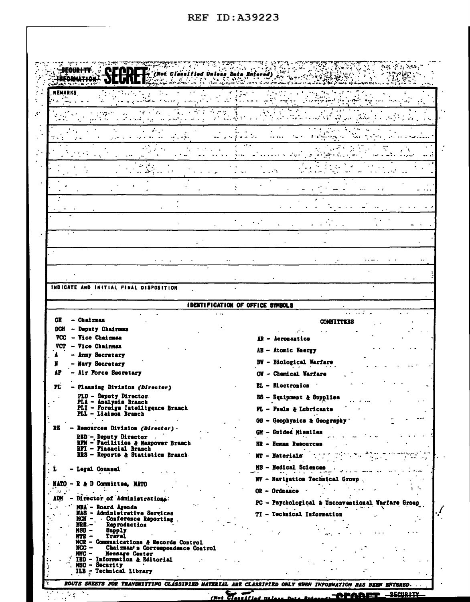| INDICATE AND INITIAL FINAL DISPOSITION                                                                                                                |                                                                                     |  |
|-------------------------------------------------------------------------------------------------------------------------------------------------------|-------------------------------------------------------------------------------------|--|
|                                                                                                                                                       | IDENTIFICATION OF OFFICE SYMBOLS                                                    |  |
| CH<br>– Chairman<br>- Deputy Chairman<br>DCH<br><b>VCC</b><br>- Vice Chairman                                                                         | <b>COMMITTEES</b><br>AR - Aeromautics                                               |  |
| <b>Vice Chairman</b><br>VCT<br>- Army Secretary<br>- Navy Secretary                                                                                   | AE - Atomic Energy<br><b>BW</b> - Biological Warfare                                |  |
| - Air Force Secretary<br>AΡ                                                                                                                           | CW - Chemical Warfare<br><b>EL</b> - Electronics                                    |  |
| PL.<br>- Planning Division (Director)<br>PLD - Deputy Director.<br>PLA - Analysis Branch<br>PLI - Foreign Intelligence Branch<br>PLL - Liaison Branch | ES - Equipment & Supplies<br>FL - Fuels & Lubricants                                |  |
| RB<br>- Resources Division (Director) -                                                                                                               | GG - Geophysics & Geography                                                         |  |
| RED'-, Deputy Director<br>RFM - Facilities & Manpower Branch                                                                                          | GM - Guided Missiles<br>HR - Human Resources                                        |  |
| RFI - Financial Branch<br>RRS - Reports & Statistics Branch-                                                                                          | MT - Materials                                                                      |  |
| L<br>- Legal Counsel                                                                                                                                  | MS - Medical Sciences<br>سعكما بالمردعا إبد                                         |  |
| $MATO - R & D$ Committee, $MATO$<br><b>Contract Contract</b><br>$\sim 10^{-11}$                                                                       | NV - Navigation Technical Group.<br>$OR - Ordnaace -$                               |  |
| - Director of Administrations.<br>ADM<br>MBA - Board Agenda                                                                                           | PC - Psychological & Unconventional Warfare Group<br>the comment of the State State |  |
| NAS - Administrative Services<br>MCN - Conference Reporting<br>Reproduction<br>MRB –                                                                  | TI - Technical Information                                                          |  |
| MSU –<br>Supply<br>Travel<br>MTR —<br>MCR - Communications & Records Control                                                                          |                                                                                     |  |
| Chairman's Correspondence Control<br>$MCC -$<br>MMC - Message Center<br>$\therefore$ TED - Information & Editorial<br>MSC - Security                  |                                                                                     |  |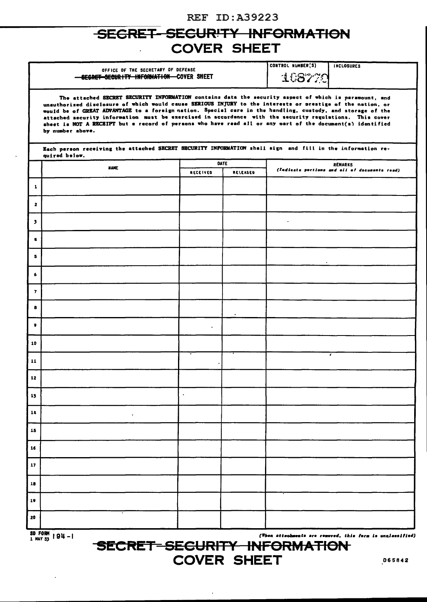### SECRET-SECURITY INFORMATION **COVER SHEET**

|         | OFFICE OF THE SECRETARY OF DEFENSE<br>SEGRET SECURITY INFORMATION COVER SHEET                                                                                                                                                                                                                                                                                                                                                                                                                                                                                                  | CONTROL NUMBER(S)<br>108779 | <b>INCLOSURES</b> |                                                                 |    |  |  |  |
|---------|--------------------------------------------------------------------------------------------------------------------------------------------------------------------------------------------------------------------------------------------------------------------------------------------------------------------------------------------------------------------------------------------------------------------------------------------------------------------------------------------------------------------------------------------------------------------------------|-----------------------------|-------------------|-----------------------------------------------------------------|----|--|--|--|
|         | The attached SECRET SECURITY INFORMATION contains data the security aspect of which is paramount, and<br>unauthorized disclosure of which would cause SERIOUS INJURY to the interests or prestige of the nation, or<br>would be of GREAT ADVANTAGE to a foreign nation. Special care in the handling, custody, and storage of the<br>attached security information must be exercised in accordance with the security regulations. This cover<br>sheet is NOT A RECEIPT but a record of persons who have read all or any part of the document(s) identified<br>by number above. |                             |                   |                                                                 |    |  |  |  |
|         | Each person receiving the attached SECRET SECURITY INFORMATION shall sign and fill in the information re-<br>quired below.                                                                                                                                                                                                                                                                                                                                                                                                                                                     |                             |                   |                                                                 |    |  |  |  |
|         | <b>NAME</b>                                                                                                                                                                                                                                                                                                                                                                                                                                                                                                                                                                    | RECEIVED                    | DATE<br>RELEASED  | <b>REMARKS</b><br>(Indicate portions and all of documents read) |    |  |  |  |
| 1       |                                                                                                                                                                                                                                                                                                                                                                                                                                                                                                                                                                                |                             |                   |                                                                 |    |  |  |  |
| 2       |                                                                                                                                                                                                                                                                                                                                                                                                                                                                                                                                                                                |                             |                   |                                                                 |    |  |  |  |
| э.      |                                                                                                                                                                                                                                                                                                                                                                                                                                                                                                                                                                                |                             |                   | $\cdot$                                                         |    |  |  |  |
| ŋ.      |                                                                                                                                                                                                                                                                                                                                                                                                                                                                                                                                                                                |                             |                   |                                                                 |    |  |  |  |
| 5       |                                                                                                                                                                                                                                                                                                                                                                                                                                                                                                                                                                                |                             |                   |                                                                 |    |  |  |  |
| 6       |                                                                                                                                                                                                                                                                                                                                                                                                                                                                                                                                                                                |                             |                   |                                                                 |    |  |  |  |
| 7       |                                                                                                                                                                                                                                                                                                                                                                                                                                                                                                                                                                                |                             |                   |                                                                 |    |  |  |  |
| 8       |                                                                                                                                                                                                                                                                                                                                                                                                                                                                                                                                                                                |                             |                   |                                                                 |    |  |  |  |
| 9       |                                                                                                                                                                                                                                                                                                                                                                                                                                                                                                                                                                                | $\blacksquare$              |                   |                                                                 |    |  |  |  |
| 10      |                                                                                                                                                                                                                                                                                                                                                                                                                                                                                                                                                                                |                             |                   |                                                                 | ×. |  |  |  |
| 11      |                                                                                                                                                                                                                                                                                                                                                                                                                                                                                                                                                                                |                             |                   |                                                                 |    |  |  |  |
| 12      |                                                                                                                                                                                                                                                                                                                                                                                                                                                                                                                                                                                |                             |                   |                                                                 |    |  |  |  |
| 13      |                                                                                                                                                                                                                                                                                                                                                                                                                                                                                                                                                                                | $\blacksquare$              |                   |                                                                 |    |  |  |  |
| 14      |                                                                                                                                                                                                                                                                                                                                                                                                                                                                                                                                                                                |                             |                   |                                                                 |    |  |  |  |
| 15      |                                                                                                                                                                                                                                                                                                                                                                                                                                                                                                                                                                                |                             |                   |                                                                 |    |  |  |  |
| 16      |                                                                                                                                                                                                                                                                                                                                                                                                                                                                                                                                                                                |                             |                   |                                                                 |    |  |  |  |
| 17      |                                                                                                                                                                                                                                                                                                                                                                                                                                                                                                                                                                                |                             |                   |                                                                 |    |  |  |  |
| 18      |                                                                                                                                                                                                                                                                                                                                                                                                                                                                                                                                                                                |                             |                   |                                                                 |    |  |  |  |
| 19      |                                                                                                                                                                                                                                                                                                                                                                                                                                                                                                                                                                                |                             |                   |                                                                 |    |  |  |  |
| 20      |                                                                                                                                                                                                                                                                                                                                                                                                                                                                                                                                                                                |                             |                   |                                                                 |    |  |  |  |
| SD FADW |                                                                                                                                                                                                                                                                                                                                                                                                                                                                                                                                                                                |                             |                   |                                                                 |    |  |  |  |

 $\frac{30 \text{ F010H}}{1 \text{ MAY } 53}$  | 94 - 1

(When attachments are removed, this form is unclassified)

SECRET-SECURITY INFORMATION **COVER SHEET**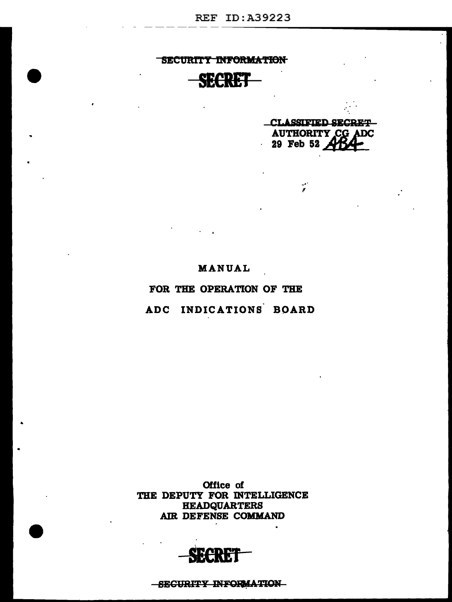-SECURITY INFORMATION

МИ

Office of THE DEPUTY FOR INTELLIGENCE **HEADQUARTERS** AIR DEFENSE COMMAND

ADC INDICATIONS BOARD

FOR THE OPERATION OF THE

MANUAL

CLASSIFIED SECRET-**AUTHORITY CG ADC**  $29$  Feb 52

 $\frac{1}{2}$ 

SECURITY INFORMATION SECRET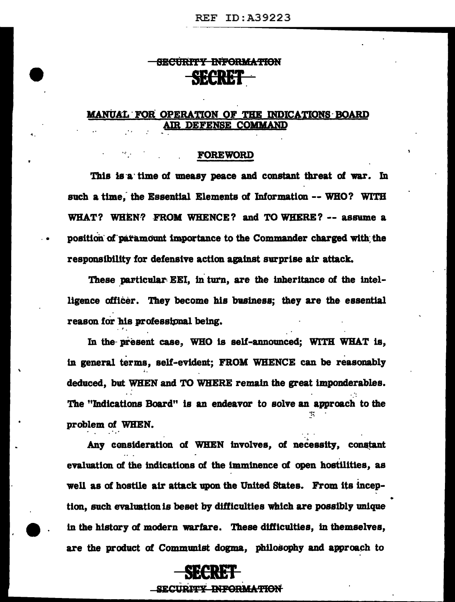### SECURITY INFORMATION SECRET

#### MANUAL FOR OPERATION OF THE INDICATIONS BOARD AIR DEFENSE COMMAND

#### **FOREWORD**

This is a time of uneasy peace and constant threat of war. In such a time, the Essential Elements of Information -- WHO? WITH WHAT? WHEN? FROM WHENCE? and TO WHERE? -- assume a position of paramount importance to the Commander charged with the responsibility for defensive action against surprise air attack.

These particular EEI, in turn, are the inheritance of the intelligence officer. They become his business: they are the essential reason for his professional being.

In the present case, WHO is self-announced; WITH WHAT is, in general terms, self-evident; FROM WHENCE can be reasonably deduced, but WHEN and TO WHERE remain the great imponderables. The "Indications Board" is an endeavor to solve an approach to the problem of WHEN.

Any consideration of WHEN involves, of necessity, constant evaluation of the indications of the imminence of open hostilities, as well as of hostile air attack upon the United States. From its inception, such evaluation is beset by difficulties which are possibly unique in the history of modern warfare. These difficulties, in themselves, are the product of Communist dogma, philosophy and approach to



SECURITY INFORMATION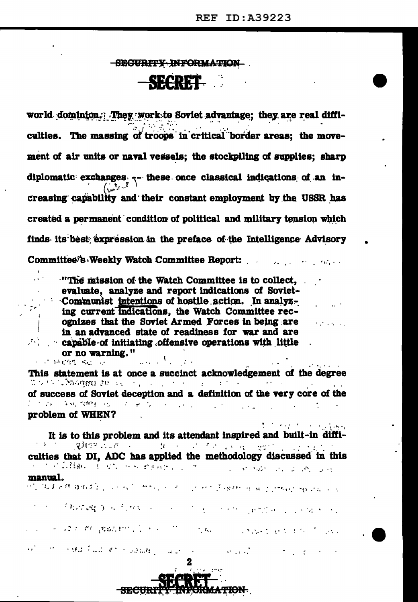$\mathcal{O}(\mathcal{O}(\log n))$ 

The control of the company

### -SECURITY INFORMATION

SROPET.

world dominion. They work to Soviet advantage; they are real difficulties. The massing of troops in critical border areas; the movement of air units or naval vessels; the stockpiling of supplies; sharp diplomatic exchanges -- these once classical indications of an in- $\int_{\Omega} dx^{3}e^{-\overline{t}}$ creasing capability and their constant employment by the USSR has created a permanent condition of political and military tension which finds its best expression in the preface of the Intelligence Advisory Committee's Weekly Watch Committee Report:

 $\cdot$ "The mission of the Watch Committee is to collect. evaluate, analyze and report indications of Soviet-Communist intentions of hostile action. In analyzing current indications, the Watch Committee recognizes that the Soviet Armed Forces in being are in an advanced state of readiness for war and are capable of initiating offensive operations with little or no warning."  $\mathcal{L} = \mathcal{L} \mathcal{L} = \mathcal{L} \mathcal{L}$ 

This statement is at once a succinct acknowledgement of the degree If  $\alpha$  is a consequent for a consequence of the consequence of the consequence of  $\alpha$ of success of Soviet deception and a definition of the very core of the 2015年,年轻微雅生活, 1000美元, 1000美元。 problem of WHEN?

It is to this problem and its attendant inspired and built-in diffi-○愛好学 はばれ コンピュータ コンピュータ とくさい こうみつ こうしょうどう culties that DI, ADC has applied the methodology discussed in this a control de Barbara de Caractería e control de la companyación de la control de la control de la control de la manual. 化乙烯基苯那 医脑皮炎 人名法克 计加入 人名意兰克 双元子 给给人的第三人称单数 网络白尾 人名

the contract and the common the common person of contracting

The sport of Careston's Control of the Cares of Construction of Control of

 $\mathcal{F}^{\mathcal{A}}$  .

经对 特别性 编出一项



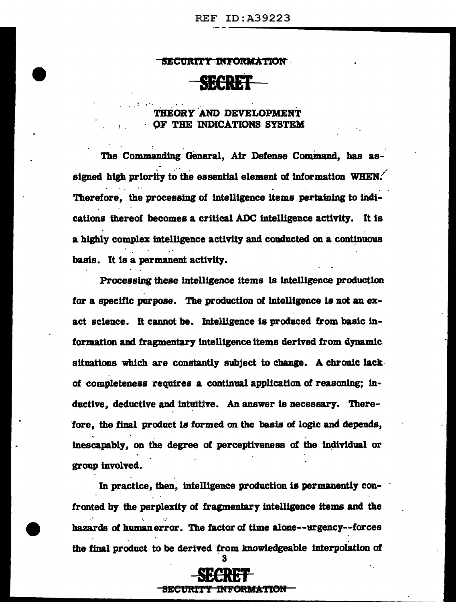#### SECURITY INFORMATION

#### THEORY AND DEVELOPMENT OF THE INDICATIONS SYSTEM

The Commanding General, Air Defense Command, has assigned high priority to the essential element of information WHEN. Therefore, the processing of intelligence items pertaining to indications thereof becomes a critical ADC intelligence activity. It is a highly complex intelligence activity and conducted on a continuous basis. It is a permanent activity.

Processing these intelligence items is intelligence production for a specific purpose. The production of intelligence is not an exact science. It cannot be. Intelligence is produced from basic information and fragmentary intelligence items derived from dynamic situations which are constantly subject to change. A chronic lack of completeness requires a continual application of reasoning; inductive, deductive and intuitive. An answer is necessary. Therefore, the final product is formed on the basis of logic and depends, inescapably, on the degree of perceptiveness of the individual or group involved.

In practice, then, intelligence production is permanently confronted by the perplexity of fragmentary intelligence items and the hazards of human error. The factor of time alone--urgency--forces the final product to be derived from knowledgeable interpolation of

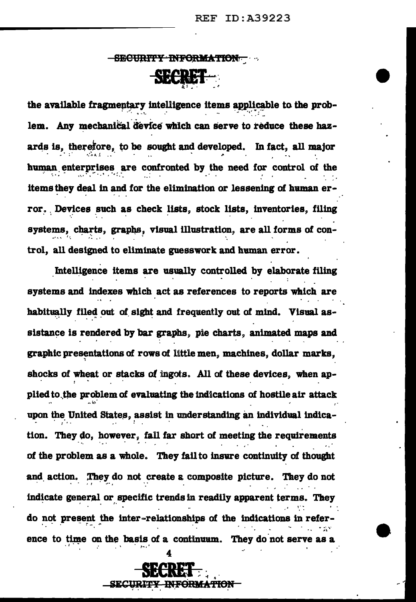# <del>- SECURITY INFORMATION -</del> SECRET

the available fragmentary intelligence items applicable to the problem. Any mechanical device which can serve to reduce these hazards is, therefore, to be sought and developed. In fact, all major human enterprises are confronted by the need for control of the items they deal in and for the elimination or lessening of human error. Devices such as check lists, stock lists, inventories, filing systems, charts, graphs, visual illustration, are all forms of control, all designed to eliminate guesswork and human error.

Intelligence items are usually controlled by elaborate filing systems and indexes which act as references to reports which are habitually filed out of sight and frequently out of mind. Visual assistance is rendered by bar graphs, pie charts, animated maps and graphic presentations of rows of little men, machines, dollar marks, shocks of wheat or stacks of ingots. All of these devices, when applied to the problem of evaluating the indications of hostile air attack upon the United States, assist in understanding an individual indication. They do, however, fall far short of meeting the requirements of the problem as a whole. They fail to insure continuity of thought and action. They do not create a composite picture. They do not indicate general or specific trends in readily apparent terms. They do not present the inter-relationships of the indications in reference to time on the basis of a continuum. They do not serve as

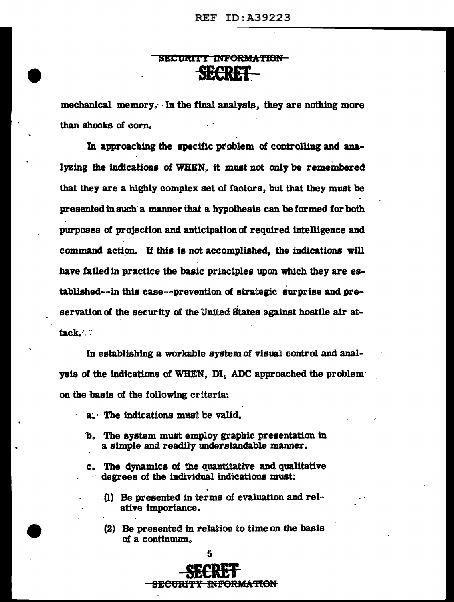### SECURITY INFORMATION-SECRET.

mechanical memory. In the final analysis, they are nothing more than shocks of corn.

In approaching the specific problem of controlling and analyzing the indications of WHEN, it must not only be remembered that they are a highly complex set of factors, but that they must be presented in such· a manner that a hypothesis can be formed for both purposes of projection and anticipation of required intelligence and command action. If this is not accomplished, the indications will have failed in practice the basic principles upon which they are established--in this case--prevention of strategic surprise and preservation of the security of the United States against hostile air attack.•.·:

In establishing a workable system of visual control and analysis of the indications of WHEN, DI, ADC approached the problem· on the basis of the following criteria:

- $a_{\bullet}$  The indications must be valid.
	- b. The system must employ graphic presentation in a simple and readily understandable manner.
	- c. The dynamics of the quantitative and qualitative degrees of the individual indications must:
		- .(1) Be presented in terms of evaluation and relative importance.
		- (2) Be presented in relation to time on the basis of a continuum.

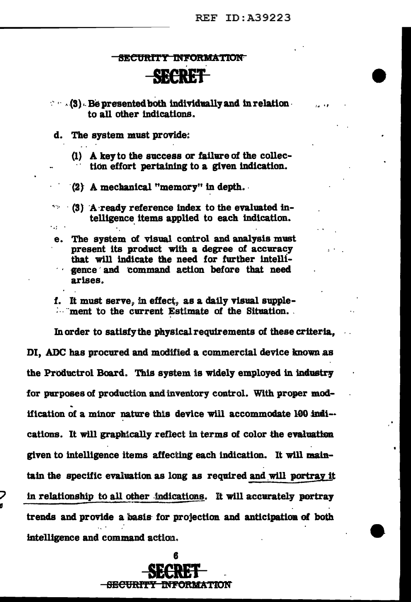.... . ,

#### 8ECURTY INFORMATION

## SECRET

 $\cdot$   $\cdot$   $(3)$ . Be presented both individually and in relation  $\cdot$ to all other indications.

d. The system must provide:

 $\sim 10^{-11}$ 

(1) A key to the success or failure of the collec-<br>tion effort pertaining to a given indication.

 $\langle 2 \rangle$  A mechanical "memory" in depth.

 $-$  (3) A ready reference index to the evaluated intelligence items applied to each indication.

e. The system of visual control and analysis must present its product with a degree of accuracy<br>that will indicate the need for further intelligence and command action before that need arises.

f. It must serve, in effect, as a daily visual supple-**Example 1.** ment to the current Estimate of the Situation.

In order to satisfy the physical requirements of these criteria, DI, ADC has procured and modified a commercial device known as the Productrol Board. This system is widely employed in industry for purposes of production and inventory control. With proper modification of a minor nature this device will accommodate  $100$  indi-cations. It will graphically reflect in terms of color the evaluation given to intelligence items affecting each indication.. It will maintain the specific evaluation as long as required and will portray it in relationship to all other indications. It will accurately portray trends and provide a basis- for projection and anticipation of both intelligence and command action.

> 6 **SECRET**  BE<del>CURITY INFORMATION</del>

**g**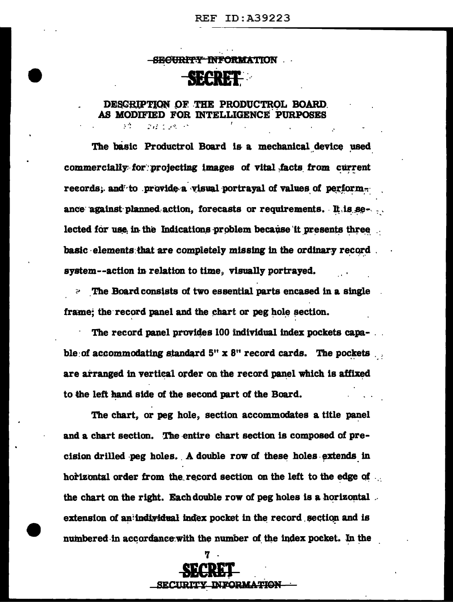#### -SE<del>CURITY INFORMA</del>TION

### **SECRET**

#### DESCRIPTION OF THE PRODUCTROL BOARD. AS MODIFIED FOR INTELLIGENCE PURPOSES

243 - 245 - 25

The basic Productrol Board is a mechanical device used commercially for projecting images of vital facts from current records; and to provide a visual portraval of values of perform. ance against planned action, forecasts or requirements. It is selected for use in the Indications problem because it presents three basic elements that are completely missing in the ordinary record. system--action in relation to time, visually portrayed.

The Board consists of two essential parts encased in a single frame; the record panel and the chart or peg hole section.

The record panel provides 100 individual index pockets capable of accommodating standard  $5'' \times 8''$  record cards. The pockets  $\ldots$ are arranged in vertical order on the record panel which is affixed to the left hand side of the second part of the Board.

The chart, or peg hole, section accommodates a title panel and a chart section. The entire chart section is composed of precision drilled peg holes. A double row of these holes extends in horizontal order from the record section on the left to the edge of the chart on the right. Each double row of peg holes is a horizontal. extension of an individual index pocket in the record section and is numbered in accordance with the number of the index pocket. In the

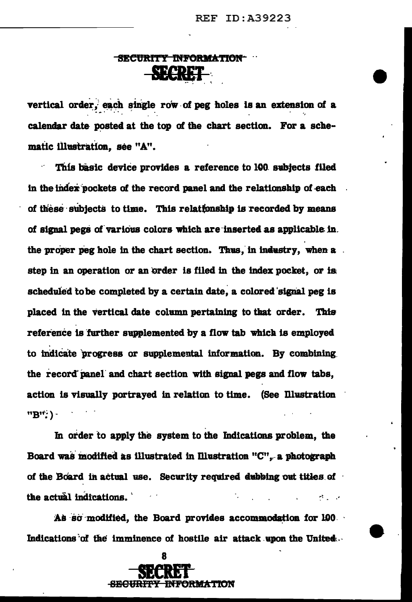# <u>-SECURITY INFORMATION</u>

vertical order, each single row of peg holes is an extension of a calendar date posted at the top of the chart section. For a schematic illustration, see "A".

This basic device provides a reference to 100 subjects filed in the index pockets of the record panel and the relationship of each of these subjects to time. This relationship is recorded by means of signal pegs of various colors which are inserted as applicable in. the proper peg hole in the chart section. Thus, in industry, when a step in an operation or an order is filed in the index pocket, or is scheduled to be completed by a certain date, a colored signal peg is placed in the vertical date column pertaining to that order. This reference is further supplemented by a flow tab which is employed to indicate progress or supplemental information. By combining the record panel and chart section with signal pegs and flow tabs, action is visually portrayed in relation to time. (See Illustration "B": ) -

In order to apply the system to the Indications problem, the Board was modified as illustrated in Illustration "C", a photograph of the Board in actual use. Security required dubbing out titles of the actual indications. All Car

As so modified, the Board provides accommodation for 190. Indications of the imminence of hostile air attack upon the United...

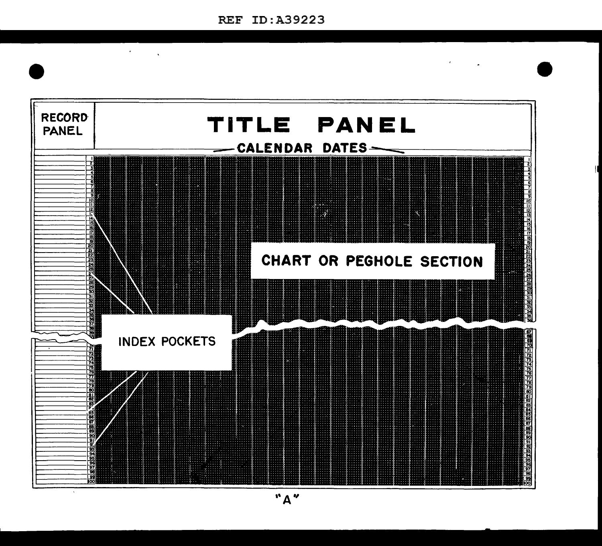$\ddot{\phantom{0}}$ 

 $\epsilon$ 

 $\ddot{\phantom{a}}$ 



 $"A"$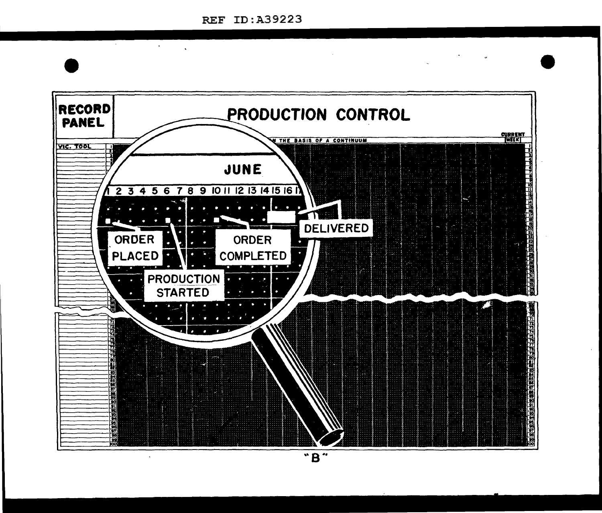A.

 $\sim 100$  km s  $^{-1}$ 

 $\mathbf{v}$ 

 $\sim$ 



 $\overline{\mathbf{B}}$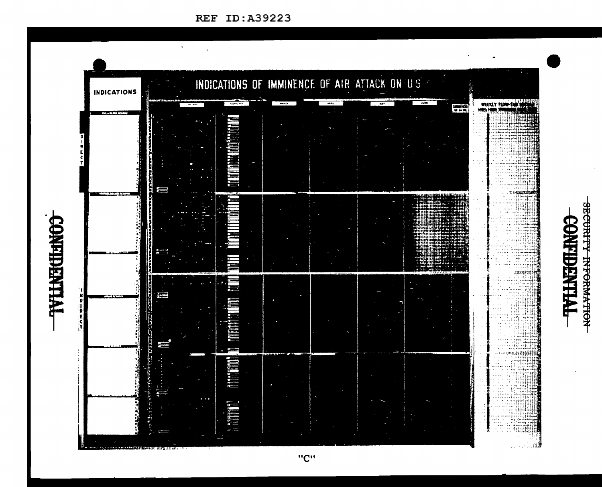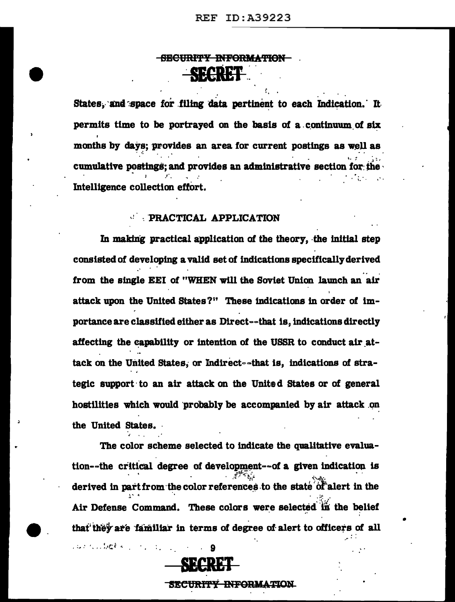### SECURITY INFORMATION 234824

States, and space for filing data pertinent to each Indication. It permits time to be portrayed on the basis of a continuum of six months by days; provides an area for current postings as well as cumulative postings; and provides an administrative section for the Intelligence collection effort.

#### **PRACTICAL APPLICATION**

In making practical application of the theory, the initial step consisted of developing a valid set of indications specifically derived from the single EEI of "WHEN will the Soviet Union launch an air attack upon the United States?" These indications in order of importance are classified either as Direct--that is, indications directly affecting the capability or intention of the USSR to conduct air attack on the United States, or Indirect--that is, indications of strategic support to an air attack on the United States or of general hostilities which would probably be accompanied by air attack on the United States.

The color scheme selected to indicate the qualitative evaluation--the critical degree of development--of a given indication is derived in part from the color references to the state of alert in the Air Defense Command. These colors were selected in the belief that they are familiar in terms of degree of alert to officers of all



9

surroubet en mongoli

<del>URITY INFORMATION</del>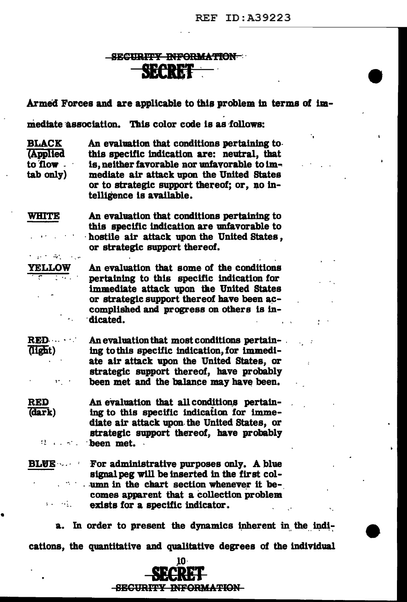### SECURITY INFORMATION SECRET

Armed Forces and are applicable to this problem in terms of im-

mediate association. This color code is as follows:

**BLACK** An evaluation that conditions pertaining to. **Applied** this specific indication are: neutral, that to flow is, neither favorable nor unfavorable to immediate air attack upon the United States  $tab$   $only)$ or to strategic support thereof; or, no intelligence is available.

**WHITE** An evaluation that conditions pertaining to this specific indication are unfavorable to hostile air attack upon the United States. or strategic support thereof.  $\mu_{\rm{max}}=2.0$ 

**YELLOW** 

**RED** 

(dark)

An evaluation that some of the conditions pertaining to this specific indication for immediate attack upon the United States or strategic support thereof have been accomplished and progress on others is indicated.

**RED.** An evaluation that most conditions pertain-(light) ing to this specific indication, for immediate air attack upon the United States, or strategic support thereof, have probably been met and the balance may have been.  $\mathbf{y} \leftarrow \mathbf{y}$ 

An evaluation that all conditions pertaining to this specific indication for immediate air attack upon the United States, or strategic support thereof, have probably **Example 2** been met.

For administrative purposes only. A blue **BLUE** signal peg will be inserted in the first column in the chart section whenever it becomes apparent that a collection problem  $\mathbf{1}$  , and  $\mathbf{1}$  , and  $\mathbf{1}$ exists for a specific indicator.

a. In order to present the dynamics inherent in the indications, the quantitative and qualitative degrees of the individual

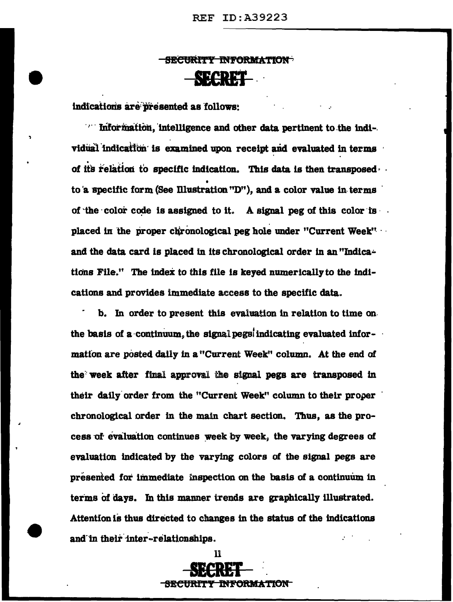### **-SECURITY INFORMATION-SECRET**

indications are presented as follows:

Information, intelligence and other data pertinent to the individual indication is examined upon receipt and evaluated in terms of its relation to specific indication. This data is then transposed to a specific form (See Illustration "D"), and a color value in terms of the color code is assigned to it. A signal peg of this color is. placed in the proper chronological peg hole under "Current Week" and the data card is placed in its chronological order in an "Indications File." The index to this file is keyed numerically to the indications and provides immediate access to the specific data.

b. In order to present this evaluation in relation to time on the basis of a continuum, the signal pegs indicating evaluated information are posted daily in a "Current Week" column. At the end of the week after final approval the signal pegs are transposed in their daily order from the "Current Week" column to their proper chronological order in the main chart section. Thus, as the process of evaluation continues week by week, the varying degrees of evaluation indicated by the varying colors of the signal pegs are presented for immediate inspection on the basis of a continuum in terms of days. In this manner trends are graphically illustrated. Attention is thus directed to changes in the status of the indications and in their inter-relationships.

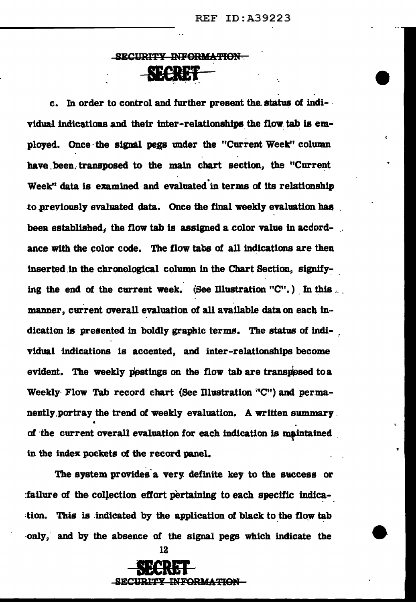Ł

### SECURITY INFORMATION SEE 52

c. In order to control and further present the status of individual indications and their inter-relationships the flow tab is employed. Once· the signal pegs under the "Current Week" column have been transposed to the main chart section, the "Current Week<sup>"</sup> data is examined and evaluated in terms of its relationship to previously evaluated data. Once the final weekly evaluation has been established, the flow tab is assigned a color value in accordance with the color code. The flow tabs of all indications are then inserted in the chronological column in the Chart Section, signifying the end of the current week. (See Illustration "C".) In this  $\ldots$ . . manner, current overall evaluation of all available data on each indication is presented in boldly graphic terms. The status of individual indications is accented, and inter-relationships become evident. The weekly postings on the flow tab are transposed to a Weekly- Flow Tab record chart (See Illustration "C") and permanently portray the trend of weekly evaluation. A written summary. ti of the current overall evaluation for each indication is maintained in the index pockets of the record panel.

The system provides a very definite key to the success or :failure of the collection effort pertaining to each specific indication. This is indicated by the application of black to the flow tab -only," and by the absence of the signal pegs which indicate the



12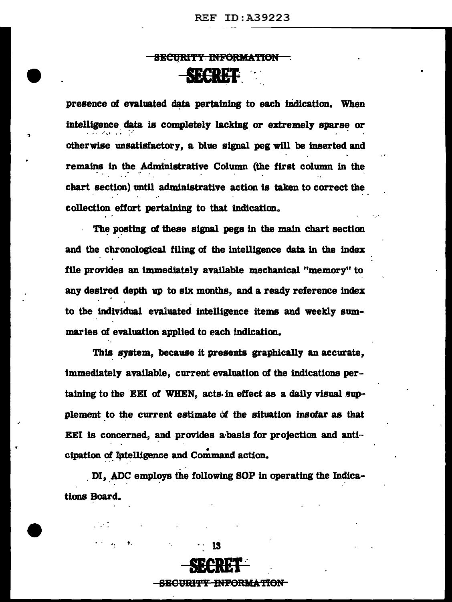### SECURITY-INFORMATION smm·\_ ··-:.

presence of evaluated data pertaining to each indication. When intelligence data is completely lacking or extremely sparse or otherwise unsatisfactory, a blue signal peg will be Inserted and remains in the Administrative Column (the first column in the chart section) until administrative action is taken to correct the collection effort pertaining to that indication.

·-·

.,

The posting of these signal pegs in the main chart section and the chronological filing of the intelligence data in the index file provides an immediately available mechanical "memory" to any desired depth up to six months, and a ready reference index to the individual evaluated intelligence items and weekly summarles of evaluation applied to each indication.

This system, because it presents graphically an accurate, immediately available, current evaluation of the indications pertaining to the EEI of WHEN, acts in effect as a daily visual supplement to the current estimate of the situation insofar as that EEI is concerned, and provides a basis for projection and anti-<br>cipation of Intelligence and Command action.

DI, ADC employs the following SOP in operating the Indications Board.

**SECRET** 

SECURITY INFORMATION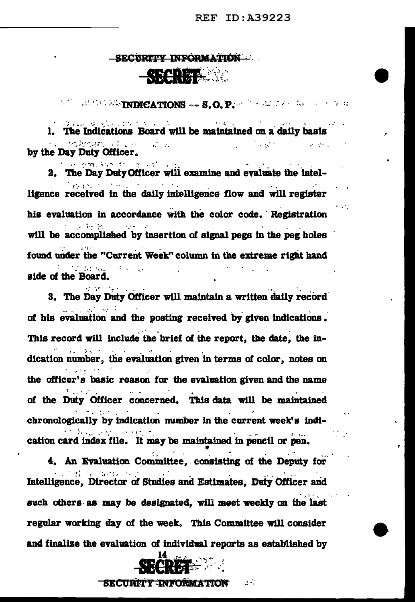#### -SECURITY INFORMATION

### **SECRET MAR**

 $\mathbb{R}^{n+1}$  and the state  $\mathbb{R}^{n}$  and  $\mathbb{R}^{n}$  and  $\mathbb{R}^{n}$  and  $\mathbb{R}^{n}$  and  $\mathbb{R}^{n}$  and  $\mathbb{R}^{n}$  and  $\mathbb{R}^{n}$  and  $\mathbb{R}^{n}$  and  $\mathbb{R}^{n}$  and  $\mathbb{R}^{n}$  and  $\mathbb{R}^{n}$  and  $\mathbb{R}^{n}$  and Source of Security Councils  $\sim 10^{11}$  and  $\sim 10^{11}$ 1. The Indications Board will be maintained on a daily basis **Indigeneric of Love**  $\mathcal{L}^{\text{max}} \rightarrow \mathcal{R}^{\text{max}}$  $\sim 10^{11}$  and  $\sim 10^{11}$ **Service State** by the Day Duty Officer.

الوالداني والمستعينة ووجعت للمست 2. The Day Duty Officer will examine and evaluate the intelthe property of the ligence received in the daily intelligence flow and will register his evaluation in accordance with the color code. Registration  $\mathcal{L}^{\text{max}}$  and  $\mathcal{L}^{\text{max}}$ will be accomplished by insertion of signal pegs in the peg holes found under the "Current Week" column in the extreme right hand in de g side of the Board.

3. The Day Duty Officer will maintain a written daily record  $\mathcal{L}^{\text{max}}$  , where  $\mathcal{L}^{\text{max}}$ of his evaluation and the posting received by given indications. This record will include the brief of the report, the date, the indication number, the evaluation given in terms of color. notes on  $\mathcal{O}_{\mathcal{A}}$  , where  $\mathcal{O}_{\mathcal{A}}$ the officer's basic reason for the evaluation given and the name of the Duty Officer concerned. This data will be maintained chronologically by indication number in the current week's indian William Congress cation card index file. It may be maintained in pencil or pen.

4. An Evaluation Committee, consisting of the Deputy for **Secretary Services** Intelligence, Director of Studies and Estimates, Duty Officer and such others as may be designated, will meet weekly on the last regular working day of the week. This Committee will consider and finalize the evaluation of individual reports as established by



 $\mathcal{L}(\mathcal{E})$ SECURITY INFORMATION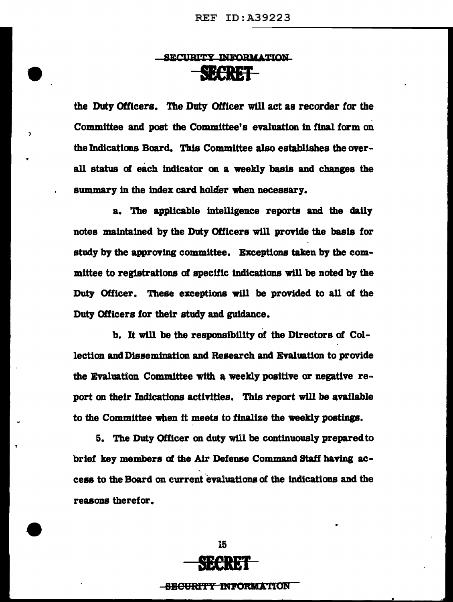### SECURITY INFORMATION **SECRET**

the Duty Officers. The Duty Officer will act as recorder for the Committee and post the Committee's evaluation in final form on the Indications Board. This Committee also establishes the overall status of each Indicator on a weekly basis and changes the summary in the index card holder when necessary.

 $\lambda$ 

..

a. The applicable intelligence reports and the daily notes maintained by the Duty Officers will provide the basis for study by the approving committee. Exceptions taken by the committee to registrations of specific indications will be noted by the Duty Officer. These exceptions will be provided to all of the Duty Officers for their study and guidance.

b. It will be the responsibility of the Directors of Collection and Dissemination and Research and Evaluation to provide the Evaluation Committee with a weekly positive or negative report on their Indications activities. This report will be available to the Committee when it meets to finalize the weekly postings.

5. The Duty Officer on duty will be continuously prepared to brief key members of the Air Defense Command Staff having access to the Board on current evaluations of the indications and the reasons therefor.



SE<del>CURITY INFORMA</del>TION

•

•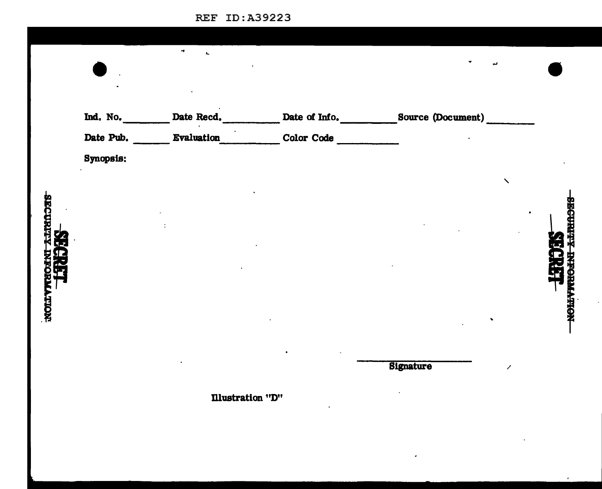| Ind. No.  | Date Recd. | Date of Info. | Source (Document) |  |
|-----------|------------|---------------|-------------------|--|
| Date Pub. | Evaluation | Color Code    |                   |  |
| Synopsis: |            |               |                   |  |
|           |            |               |                   |  |
|           |            |               |                   |  |
|           |            |               |                   |  |
|           |            |               |                   |  |
|           |            |               |                   |  |
|           |            |               |                   |  |
|           |            |               |                   |  |
|           |            |               |                   |  |
|           |            |               |                   |  |
|           |            |               | <b>Signature</b>  |  |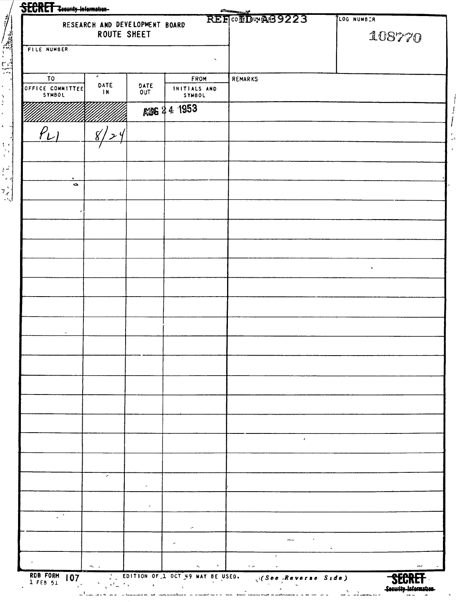|                                                                              | RESEARCH AND DEVELOPMENT BOARD<br>ROUTE SHEET |                                                                             | REF OF DWAS9223                                                                                                                                                                   | LOG NUMBER<br>108770 |
|------------------------------------------------------------------------------|-----------------------------------------------|-----------------------------------------------------------------------------|-----------------------------------------------------------------------------------------------------------------------------------------------------------------------------------|----------------------|
| <b>FILE NUMBER</b>                                                           |                                               | $\boldsymbol{\mathsf{v}}$                                                   |                                                                                                                                                                                   |                      |
| $\sigma$<br>T <sub>0</sub><br>DATE                                           | DATE                                          | FROM                                                                        | <b>REMARKS</b>                                                                                                                                                                    |                      |
| OFFICE COMMITTEE<br>$\blacksquare$<br>SYMBOL                                 | OUT                                           | INITIALS AND<br>SYMBOL                                                      |                                                                                                                                                                                   |                      |
|                                                                              |                                               | ASG 24 1953                                                                 |                                                                                                                                                                                   |                      |
| $P_{L1}$<br>8/                                                               | $z \nmid$                                     |                                                                             |                                                                                                                                                                                   |                      |
|                                                                              |                                               |                                                                             |                                                                                                                                                                                   |                      |
|                                                                              |                                               |                                                                             |                                                                                                                                                                                   |                      |
| $\bullet$                                                                    |                                               |                                                                             |                                                                                                                                                                                   |                      |
|                                                                              |                                               |                                                                             |                                                                                                                                                                                   |                      |
|                                                                              |                                               |                                                                             |                                                                                                                                                                                   |                      |
|                                                                              |                                               |                                                                             |                                                                                                                                                                                   |                      |
|                                                                              |                                               |                                                                             |                                                                                                                                                                                   | $\bullet$            |
|                                                                              |                                               |                                                                             |                                                                                                                                                                                   |                      |
|                                                                              |                                               |                                                                             |                                                                                                                                                                                   |                      |
|                                                                              |                                               |                                                                             |                                                                                                                                                                                   |                      |
|                                                                              |                                               |                                                                             |                                                                                                                                                                                   |                      |
|                                                                              |                                               |                                                                             |                                                                                                                                                                                   |                      |
|                                                                              |                                               |                                                                             |                                                                                                                                                                                   |                      |
|                                                                              |                                               |                                                                             |                                                                                                                                                                                   |                      |
|                                                                              |                                               |                                                                             |                                                                                                                                                                                   |                      |
|                                                                              |                                               |                                                                             | $\mathcal{F}$                                                                                                                                                                     |                      |
|                                                                              |                                               |                                                                             |                                                                                                                                                                                   |                      |
| ╭                                                                            |                                               |                                                                             |                                                                                                                                                                                   |                      |
|                                                                              | $\tilde{\phantom{a}}$                         |                                                                             |                                                                                                                                                                                   |                      |
| $\mathbb{R}^{\mathbb{Z}}$                                                    | $\overline{\phantom{a}}$                      |                                                                             |                                                                                                                                                                                   |                      |
|                                                                              |                                               | ×                                                                           |                                                                                                                                                                                   |                      |
|                                                                              |                                               | $\overline{\phantom{a}}$                                                    | $\frac{1}{\sqrt{2\pi}}\frac{1}{\sqrt{2\pi}}\left(\frac{1}{\sqrt{2\pi}}\right)^{1/2}\left(\frac{1}{\sqrt{2\pi}}\right)^{1/2}\left(\frac{1}{\sqrt{2\pi}}\right)^{1/2}$<br>$\pmb{t}$ | $\sim$               |
| $\epsilon$<br>$\mathbf{m}_{\mathrm{V}} = \mathbf{m}$<br>RDB FORM<br>1 FEB 51 |                                               | $\mathbf x$<br>$\mathcal{H}_\mathrm{c}$<br>EDITION OF 1 OCT 49 MAY BE USED. | $\pm$ $\omega$ .<br>$\sigma$                                                                                                                                                      | $\sigma$             |

 $\frac{1}{2}$   $\frac{1}{2}$   $\frac{1}{2}$   $\frac{1}{2}$   $\frac{1}{2}$   $\frac{1}{2}$ 

 $\frac{1}{2}$  $\ddot{\phantom{1}}$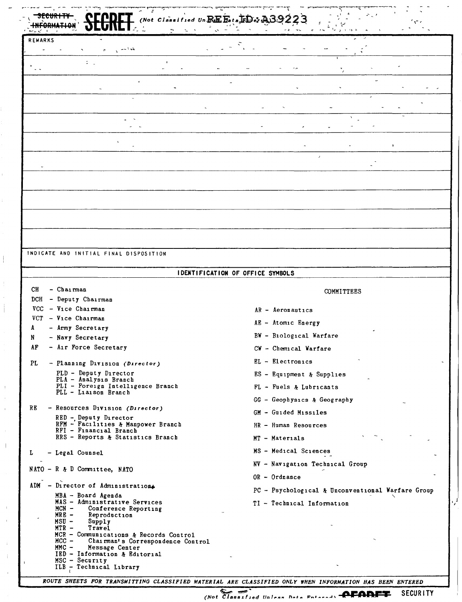| (Not Classified Un $\mathbb{R}$ K $\mathbb{E}$ beta $\mathbb{R}$ $\mathbb{D}$ or $\mathbb{A}$                                                                             |                                                   |  |  |  |  |
|---------------------------------------------------------------------------------------------------------------------------------------------------------------------------|---------------------------------------------------|--|--|--|--|
| <b>REMARKS</b>                                                                                                                                                            |                                                   |  |  |  |  |
|                                                                                                                                                                           |                                                   |  |  |  |  |
| ÷                                                                                                                                                                         |                                                   |  |  |  |  |
|                                                                                                                                                                           |                                                   |  |  |  |  |
|                                                                                                                                                                           |                                                   |  |  |  |  |
|                                                                                                                                                                           |                                                   |  |  |  |  |
|                                                                                                                                                                           |                                                   |  |  |  |  |
|                                                                                                                                                                           |                                                   |  |  |  |  |
|                                                                                                                                                                           |                                                   |  |  |  |  |
|                                                                                                                                                                           |                                                   |  |  |  |  |
|                                                                                                                                                                           |                                                   |  |  |  |  |
|                                                                                                                                                                           |                                                   |  |  |  |  |
|                                                                                                                                                                           |                                                   |  |  |  |  |
|                                                                                                                                                                           |                                                   |  |  |  |  |
|                                                                                                                                                                           |                                                   |  |  |  |  |
|                                                                                                                                                                           |                                                   |  |  |  |  |
|                                                                                                                                                                           |                                                   |  |  |  |  |
|                                                                                                                                                                           |                                                   |  |  |  |  |
| INDICATE AND INITIAL FINAL DISPOSITION                                                                                                                                    |                                                   |  |  |  |  |
|                                                                                                                                                                           | IDENTIFICATION OF OFFICE SYMBOLS                  |  |  |  |  |
| - Chairman<br>CН                                                                                                                                                          |                                                   |  |  |  |  |
| - Deputy Chairman<br>DCH                                                                                                                                                  | COMMITTEES                                        |  |  |  |  |
| $-$ Vice Chairman<br>VCC                                                                                                                                                  | $AR - Aeronautics$                                |  |  |  |  |
| VCT - Vice Chairman                                                                                                                                                       | AE - Atomic Energy                                |  |  |  |  |
| - Army Secretary                                                                                                                                                          | BW - Biological Warfare                           |  |  |  |  |
| - Navy Secretary<br>N<br>- Air Force Secretary<br>٨F                                                                                                                      |                                                   |  |  |  |  |
|                                                                                                                                                                           | CW - Chemical Warfare                             |  |  |  |  |
| PL<br>- Planning Division (Director)                                                                                                                                      | EL - Electronics                                  |  |  |  |  |
| PLD - Deputy Director<br>PLA - Analysis Branch                                                                                                                            | ES - Equipment & Supplies                         |  |  |  |  |
| PLI - Foreign Intelligence Branch<br>PLL - Liaison Branch                                                                                                                 | $FL - Fuels$ & Lubricants                         |  |  |  |  |
|                                                                                                                                                                           | $GG - Geophysics$ & Geography                     |  |  |  |  |
| RE<br>- Resources Division (Director)                                                                                                                                     | GM - Guided Missiles                              |  |  |  |  |
| $RED -$ Deputy Director<br>RFM - Facilities & Manpower Branch                                                                                                             | HR - Human Resources                              |  |  |  |  |
| RFI - Financial Branch<br>RRS - Reports & Statistics Branch                                                                                                               |                                                   |  |  |  |  |
|                                                                                                                                                                           | MT - Materials                                    |  |  |  |  |
| L<br>- Legal Counsel                                                                                                                                                      | MS - Medical Sciences                             |  |  |  |  |
| NATO - R $x$ D Committee, NATO                                                                                                                                            | NV - Navigation Technical Group                   |  |  |  |  |
|                                                                                                                                                                           | $OR - Ordnance$                                   |  |  |  |  |
| ADM - Director of Administration.                                                                                                                                         | PC - Psychological & Unconventional Warfare Group |  |  |  |  |
| MBA - Board Agenda<br>MAS - Administrative Services<br>$MCN -$<br>Conference Reporting<br>$MRE -$<br>Reproduction<br>$MSU -$<br>Supply                                    | TI - Technical Information                        |  |  |  |  |
| $MTR -$<br>Travel<br>MCR - Communications & Records Control<br>$MCC -$<br>Chairman's Correspondence Control<br>$MMC -$<br>Message Center<br>IED - Information & Editorial |                                                   |  |  |  |  |
| $MSC - Security$<br>ILB - Technical Library                                                                                                                               |                                                   |  |  |  |  |

 $\frac{1}{2}$  $\bar{\alpha}$ J.

 $\|$ 

ROUTE SHEETS FOR TRANSMITTING CLASSIFIED MATERIAL ARE CLASSIFIED ONLY WHEN INFORMATION HAS BEEN ENTERED

(Not Classified Unions Data Entered) **AFARET** SECURITY